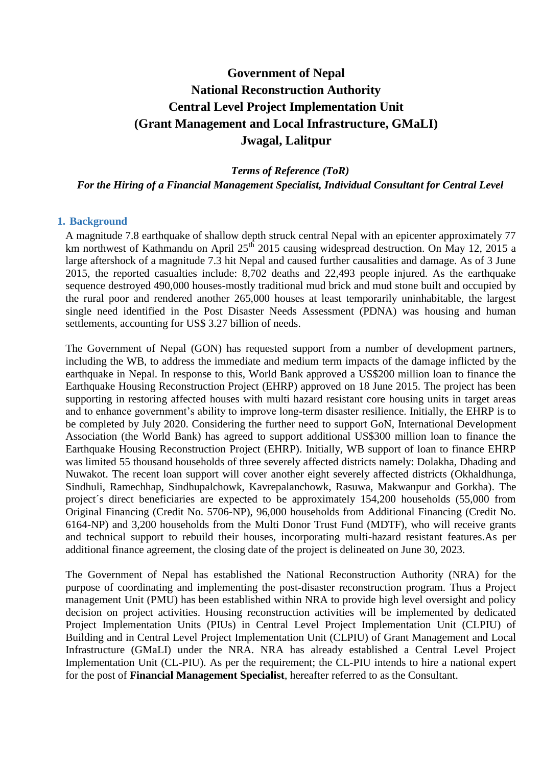# **Government of Nepal National Reconstruction Authority Central Level Project Implementation Unit (Grant Management and Local Infrastructure, GMaLI) Jwagal, Lalitpur**

*Terms of Reference (ToR) For the Hiring of a Financial Management Specialist, Individual Consultant for Central Level*

# **1. Background**

A magnitude 7.8 earthquake of shallow depth struck central Nepal with an epicenter approximately 77 km northwest of Kathmandu on April 25<sup>th</sup> 2015 causing widespread destruction. On May 12, 2015 a large aftershock of a magnitude 7.3 hit Nepal and caused further causalities and damage. As of 3 June 2015, the reported casualties include: 8,702 deaths and 22,493 people injured. As the earthquake sequence destroyed 490,000 houses-mostly traditional mud brick and mud stone built and occupied by the rural poor and rendered another 265,000 houses at least temporarily uninhabitable, the largest single need identified in the Post Disaster Needs Assessment (PDNA) was housing and human settlements, accounting for US\$ 3.27 billion of needs.

The Government of Nepal (GON) has requested support from a number of development partners, including the WB, to address the immediate and medium term impacts of the damage inflicted by the earthquake in Nepal. In response to this, World Bank approved a US\$200 million loan to finance the Earthquake Housing Reconstruction Project (EHRP) approved on 18 June 2015. The project has been supporting in restoring affected houses with multi hazard resistant core housing units in target areas and to enhance government's ability to improve long-term disaster resilience. Initially, the EHRP is to be completed by July 2020. Considering the further need to support GoN, International Development Association (the World Bank) has agreed to support additional US\$300 million loan to finance the Earthquake Housing Reconstruction Project (EHRP). Initially, WB support of loan to finance EHRP was limited 55 thousand households of three severely affected districts namely: Dolakha, Dhading and Nuwakot. The recent loan support will cover another eight severely affected districts (Okhaldhunga, Sindhuli, Ramechhap, Sindhupalchowk, Kavrepalanchowk, Rasuwa, Makwanpur and Gorkha). The project´s direct beneficiaries are expected to be approximately 154,200 households (55,000 from Original Financing (Credit No. 5706-NP), 96,000 households from Additional Financing (Credit No. 6164-NP) and 3,200 households from the Multi Donor Trust Fund (MDTF), who will receive grants and technical support to rebuild their houses, incorporating multi-hazard resistant features.As per additional finance agreement, the closing date of the project is delineated on June 30, 2023.

The Government of Nepal has established the National Reconstruction Authority (NRA) for the purpose of coordinating and implementing the post-disaster reconstruction program. Thus a Project management Unit (PMU) has been established within NRA to provide high level oversight and policy decision on project activities. Housing reconstruction activities will be implemented by dedicated Project Implementation Units (PIUs) in Central Level Project Implementation Unit (CLPIU) of Building and in Central Level Project Implementation Unit (CLPIU) of Grant Management and Local Infrastructure (GMaLI) under the NRA. NRA has already established a Central Level Project Implementation Unit (CL-PIU). As per the requirement; the CL-PIU intends to hire a national expert for the post of **Financial Management Specialist**, hereafter referred to as the Consultant.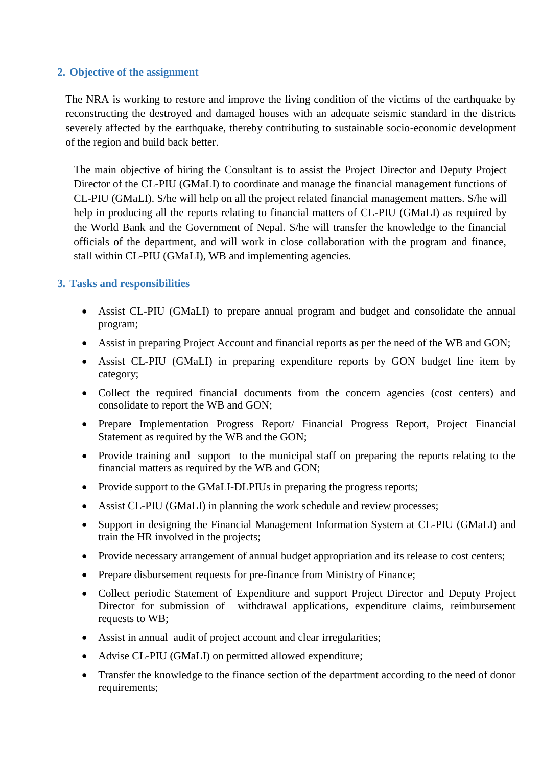# **2. Objective of the assignment**

The NRA is working to restore and improve the living condition of the victims of the earthquake by reconstructing the destroyed and damaged houses with an adequate seismic standard in the districts severely affected by the earthquake, thereby contributing to sustainable socio-economic development of the region and build back better.

The main objective of hiring the Consultant is to assist the Project Director and Deputy Project Director of the CL-PIU (GMaLI) to coordinate and manage the financial management functions of CL-PIU (GMaLI). S/he will help on all the project related financial management matters. S/he will help in producing all the reports relating to financial matters of CL-PIU (GMaLI) as required by the World Bank and the Government of Nepal. S/he will transfer the knowledge to the financial officials of the department, and will work in close collaboration with the program and finance, stall within CL-PIU (GMaLI), WB and implementing agencies.

# **3. Tasks and responsibilities**

- Assist CL-PIU (GMaLI) to prepare annual program and budget and consolidate the annual program;
- Assist in preparing Project Account and financial reports as per the need of the WB and GON;
- Assist CL-PIU (GMaLI) in preparing expenditure reports by GON budget line item by category;
- Collect the required financial documents from the concern agencies (cost centers) and consolidate to report the WB and GON;
- Prepare Implementation Progress Report/ Financial Progress Report, Project Financial Statement as required by the WB and the GON;
- Provide training and support to the municipal staff on preparing the reports relating to the financial matters as required by the WB and GON;
- Provide support to the GMaLI-DLPIUs in preparing the progress reports;
- Assist CL-PIU (GMaLI) in planning the work schedule and review processes;
- Support in designing the Financial Management Information System at CL-PIU (GMaLI) and train the HR involved in the projects;
- Provide necessary arrangement of annual budget appropriation and its release to cost centers;
- Prepare disbursement requests for pre-finance from Ministry of Finance;
- Collect periodic Statement of Expenditure and support Project Director and Deputy Project Director for submission of withdrawal applications, expenditure claims, reimbursement requests to WB;
- Assist in annual audit of project account and clear irregularities;
- Advise CL-PIU (GMaLI) on permitted allowed expenditure;
- Transfer the knowledge to the finance section of the department according to the need of donor requirements;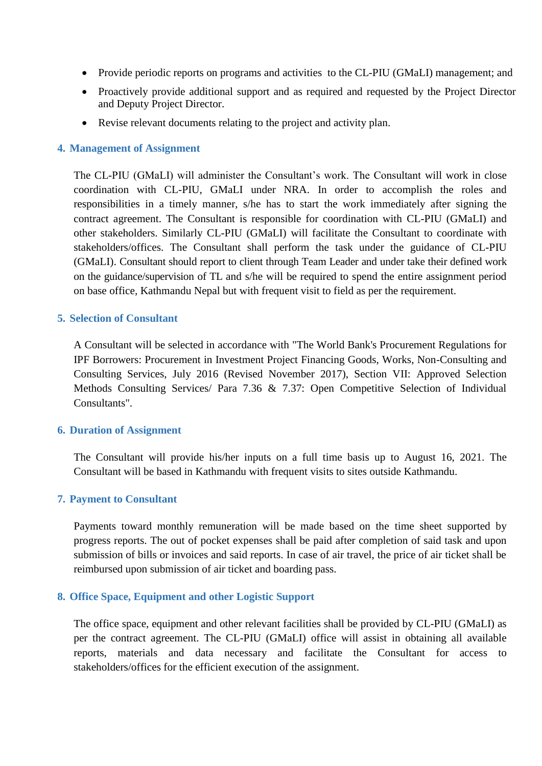- Provide periodic reports on programs and activities to the CL-PIU (GMaLI) management; and
- Proactively provide additional support and as required and requested by the Project Director and Deputy Project Director.
- Revise relevant documents relating to the project and activity plan.

#### **4. Management of Assignment**

The CL-PIU (GMaLI) will administer the Consultant's work. The Consultant will work in close coordination with CL-PIU, GMaLI under NRA. In order to accomplish the roles and responsibilities in a timely manner, s/he has to start the work immediately after signing the contract agreement. The Consultant is responsible for coordination with CL-PIU (GMaLI) and other stakeholders. Similarly CL-PIU (GMaLI) will facilitate the Consultant to coordinate with stakeholders/offices. The Consultant shall perform the task under the guidance of CL-PIU (GMaLI). Consultant should report to client through Team Leader and under take their defined work on the guidance/supervision of TL and s/he will be required to spend the entire assignment period on base office, Kathmandu Nepal but with frequent visit to field as per the requirement.

### **5. Selection of Consultant**

A Consultant will be selected in accordance with "The World Bank's Procurement Regulations for IPF Borrowers: Procurement in Investment Project Financing Goods, Works, Non-Consulting and Consulting Services, July 2016 (Revised November 2017), Section VII: Approved Selection Methods Consulting Services/ Para 7.36 & 7.37: Open Competitive Selection of Individual Consultants".

#### **6. Duration of Assignment**

The Consultant will provide his/her inputs on a full time basis up to August 16, 2021. The Consultant will be based in Kathmandu with frequent visits to sites outside Kathmandu.

#### **7. Payment to Consultant**

Payments toward monthly remuneration will be made based on the time sheet supported by progress reports. The out of pocket expenses shall be paid after completion of said task and upon submission of bills or invoices and said reports. In case of air travel, the price of air ticket shall be reimbursed upon submission of air ticket and boarding pass.

#### **8. Office Space, Equipment and other Logistic Support**

The office space, equipment and other relevant facilities shall be provided by CL-PIU (GMaLI) as per the contract agreement. The CL-PIU (GMaLI) office will assist in obtaining all available reports, materials and data necessary and facilitate the Consultant for access to stakeholders/offices for the efficient execution of the assignment.